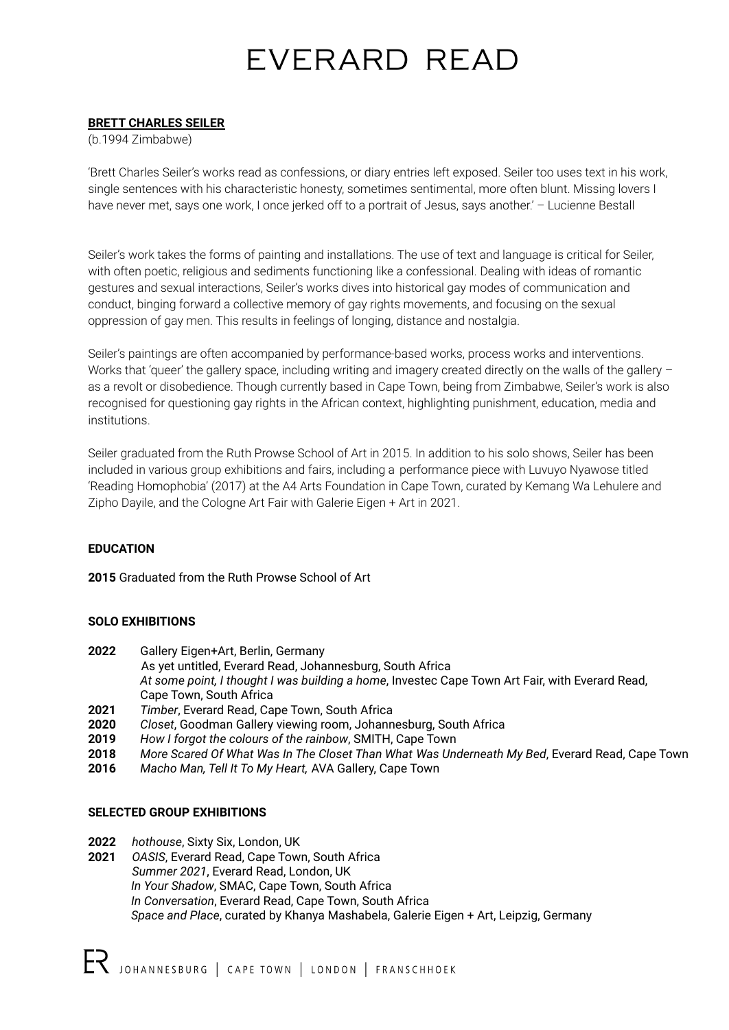# EVERARD READ

### **BRETT CHARLES SEILER**

(b.1994 Zimbabwe)

'Brett Charles Seiler's works read as confessions, or diary entries left exposed. Seiler too uses text in his work, single sentences with his characteristic honesty, sometimes sentimental, more often blunt. Missing lovers I have never met, says one work, I once jerked off to a portrait of Jesus, says another.' - Lucienne Bestall

Seiler's work takes the forms of painting and installations. The use of text and language is critical for Seiler, with often poetic, religious and sediments functioning like a confessional. Dealing with ideas of romantic gestures and sexual interactions, Seiler's works dives into historical gay modes of communication and conduct, binging forward a collective memory of gay rights movements, and focusing on the sexual oppression of gay men. This results in feelings of longing, distance and nostalgia.

Seiler's paintings are often accompanied by performance-based works, process works and interventions. Works that 'queer' the gallery space, including writing and imagery created directly on the walls of the gallery – as a revolt or disobedience. Though currently based in Cape Town, being from Zimbabwe, Seiler's work is also recognised for questioning gay rights in the African context, highlighting punishment, education, media and institutions.

Seiler graduated from the Ruth Prowse School of Art in 2015. In addition to his solo shows, Seiler has been included in various group exhibitions and fairs, including a performance piece with Luvuyo Nyawose titled 'Reading Homophobia' (2017) at the A4 Arts Foundation in Cape Town, curated by Kemang Wa Lehulere and Zipho Dayile, and the Cologne Art Fair with Galerie Eigen + Art in 2021.

## **EDUCATION**

**2015** Graduated from the Ruth Prowse School of Art

#### **SOLO EXHIBITIONS**

- **2022** Gallery Eigen+Art, Berlin, Germany
- As yet untitled, Everard Read, Johannesburg, South Africa *At some point, I thought I was building a home*, Investec Cape Town Art Fair, with Everard Read, Cape Town, South Africa
- **2021** *Timber*, Everard Read, Cape Town, South Africa
- **2020** *Closet*, Goodman Gallery viewing room, Johannesburg, South Africa
- **2019** *How I forgot the colours of the rainbow*, SMITH, Cape Town
- **2018** *More Scared Of What Was In The Closet Than What Was Underneath My Bed*, Everard Read, Cape Town
- **2016** *Macho Man, Tell It To My Heart,* AVA Gallery, Cape Town

#### **SELECTED GROUP EXHIBITIONS**

- **2022** *hothouse*, Sixty Six, London, UK
- **2021** *OASIS*, Everard Read, Cape Town, South Africa *Summer 2021*, Everard Read, London, UK *In Your Shadow*, SMAC, Cape Town, South Africa *In Conversation*, Everard Read, Cape Town, South Africa *Space and Place*, curated by Khanya Mashabela, Galerie Eigen + Art, Leipzig, Germany